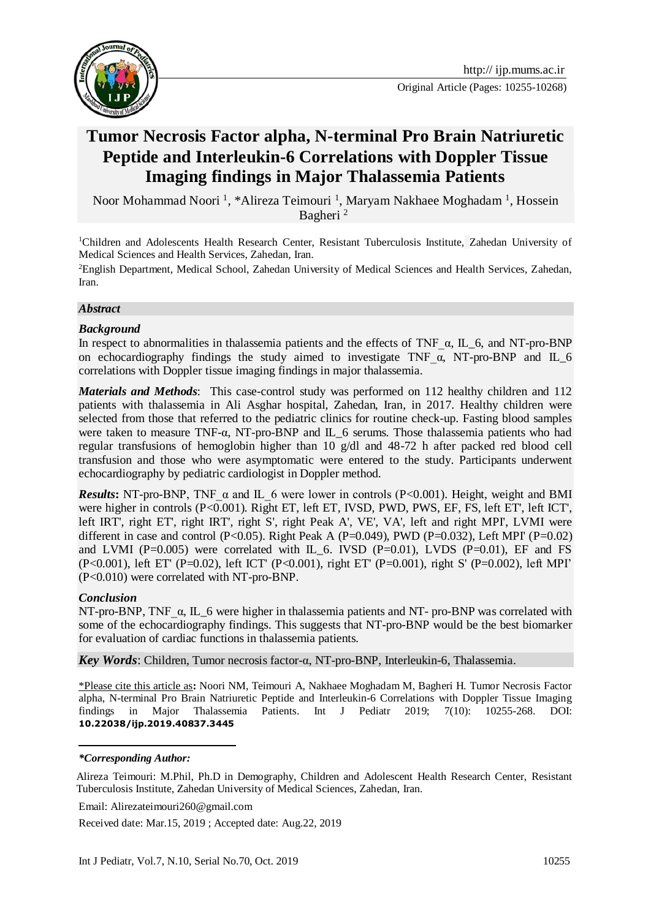

Original Article (Pages: 10255-10268)

# **Tumor Necrosis Factor alpha, N-terminal Pro Brain Natriuretic Peptide and Interleukin-6 Correlations with Doppler Tissue Imaging findings in Major Thalassemia Patients**

Noor Mohammad Noori<sup>1</sup>, \*Alireza Teimouri<sup>1</sup>, Maryam Nakhaee Moghadam<sup>1</sup>, Hossein Bagheri<sup>2</sup>

<sup>1</sup>Children and Adolescents Health Research Center, Resistant Tuberculosis Institute, Zahedan University of Medical Sciences and Health Services, Zahedan, Iran.

<sup>2</sup>English Department, Medical School, Zahedan University of Medical Sciences and Health Services, Zahedan, Iran.

#### *Abstract*

#### *Background*

In respect to abnormalities in thalassemia patients and the effects of TNF  $\alpha$ , IL 6, and NT-pro-BNP on echocardiography findings the study aimed to investigate TNF  $\alpha$ , NT-pro-BNP and IL 6 correlations with Doppler tissue imaging findings in major thalassemia.

*Materials and Methods*: This case-control study was performed on 112 healthy children and 112 patients with thalassemia in Ali Asghar hospital, Zahedan, Iran, in 2017. Healthy children were selected from those that referred to the pediatric clinics for routine check-up. Fasting blood samples were taken to measure TNF-α, NT-pro-BNP and IL\_6 serums. Those thalassemia patients who had regular transfusions of hemoglobin higher than 10 g/dl and 48-72 h after packed red blood cell transfusion and those who were asymptomatic were entered to the study. Participants underwent echocardiography by pediatric cardiologist in Doppler method.

*Results***:** NT-pro-BNP, TNF\_α and IL\_6 were lower in controls (P<0.001). Height, weight and BMI were higher in controls (P<0.001). Right ET, left ET, IVSD, PWD, PWS, EF, FS, left ET', left ICT', left IRT', right ET', right IRT', right S', right Peak A', VE', VA', left and right MPI', LVMI were different in case and control (P<0.05). Right Peak A (P=0.049), PWD (P=0.032), Left MPI' (P=0.02) and LVMI ( $P=0.005$ ) were correlated with IL 6. IVSD ( $P=0.01$ ), LVDS ( $P=0.01$ ), EF and FS (P<0.001), left ET' (P=0.02), left ICT' (P<0.001), right ET' (P=0.001), right S' (P=0.002), left MPI' (P<0.010) were correlated with NT-pro-BNP.

#### *Conclusion*

NT-pro-BNP, TNF\_α, IL\_6 were higher in thalassemia patients and NT- pro-BNP was correlated with some of the echocardiography findings. This suggests that NT-pro-BNP would be the best biomarker for evaluation of cardiac functions in thalassemia patients.

*Key Words*: Children, Tumor necrosis factor-α, NT-pro-BNP, Interleukin-6, Thalassemia.

\*Please cite this article as**:** Noori NM, Teimouri A, Nakhaee Moghadam M, Bagheri H. Tumor Necrosis Factor alpha, N-terminal Pro Brain Natriuretic Peptide and Interleukin-6 Correlations with Doppler Tissue Imaging findings in Major Thalassemia Patients. Int J Pediatr 2019; 7(10): 10255-268. DOI: **10.22038/ijp.2019.40837.3445**

1

Email: [Alirezateimouri260@gmail.com](mailto:Alirezateimouri260@gmail.com)

Received date: Mar.15, 2019 ; Accepted date: Aug.22, 2019

*<sup>\*</sup>Corresponding Author:*

Alireza Teimouri: M.Phil, Ph.D in Demography, Children and Adolescent Health Research Center, Resistant Tuberculosis Institute, Zahedan University of Medical Sciences, Zahedan, Iran.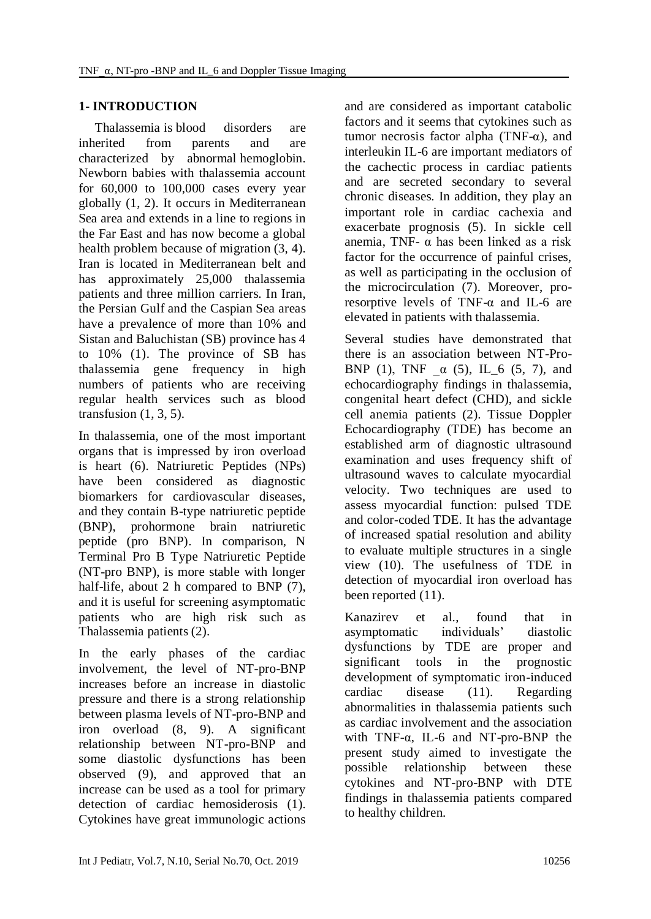# **1- INTRODUCTION**

 Thalassemia is [blood disorders](https://en.wikipedia.org/wiki/Blood_disorder) are inherited from parents and are characterized by abnormal [hemoglobin.](https://en.wikipedia.org/wiki/Hemoglobin) Newborn babies with thalassemia account for 60,000 to 100,000 cases every year globally (1, 2). It occurs in Mediterranean Sea area and extends in a line to regions in the Far East and has now become a global health problem because of migration (3, 4). Iran is located in Mediterranean belt and has approximately 25,000 thalassemia patients and three million carriers. In Iran, the Persian Gulf and the Caspian Sea areas have a prevalence of more than 10% and Sistan and Baluchistan (SB) province has 4 to 10% (1). The province of SB has thalassemia gene frequency in high numbers of patients who are receiving regular health services such as blood transfusion  $(1, 3, 5)$ .

In thalassemia, one of the most important organs that is impressed by iron overload is heart (6). Natriuretic Peptides (NPs) have been considered as diagnostic biomarkers for cardiovascular diseases, and they contain B-type natriuretic peptide (BNP), prohormone brain natriuretic peptide (pro BNP). In comparison, N Terminal Pro B Type Natriuretic Peptide (NT-pro BNP), is more stable with longer half-life, about 2 h compared to BNP  $(7)$ , and it is useful for screening asymptomatic patients who are high risk such as Thalassemia patients (2).

In the early phases of the cardiac involvement, the level of NT-pro-BNP increases before an increase in diastolic pressure and there is a strong relationship between plasma levels of NT-pro-BNP and iron overload (8, 9). A significant relationship between NT-pro-BNP and some diastolic dysfunctions has been observed (9), and approved that an increase can be used as a tool for primary detection of cardiac hemosiderosis (1). Cytokines have great immunologic actions

and are considered as important catabolic factors and it seems that cytokines such as tumor necrosis factor alpha (TNF- $α$ ), and interleukin IL-6 are important mediators of the cachectic process in cardiac patients and are secreted secondary to several chronic diseases. In addition, they play an important role in cardiac cachexia and exacerbate prognosis (5). In sickle cell anemia, TNF- α has been linked as a risk factor for the occurrence of painful crises, as well as participating in the occlusion of the microcirculation (7). Moreover, proresorptive levels of TNF-α and IL-6 are elevated in patients with thalassemia.

Several studies have demonstrated that there is an association between NT-Pro-BNP (1), TNF  $\alpha$  (5), IL 6 (5, 7), and echocardiography findings in thalassemia, congenital heart defect (CHD), and sickle cell anemia patients (2). Tissue Doppler Echocardiography (TDE) has become an established arm of diagnostic ultrasound examination and uses frequency shift of ultrasound waves to calculate myocardial velocity. Two techniques are used to assess myocardial function: pulsed TDE and color-coded TDE. It has the advantage of increased spatial resolution and ability to evaluate multiple structures in a single view (10). The usefulness of TDE in detection of myocardial iron overload has been reported  $(11)$ .

Kanazirev et al., found that in asymptomatic individuals' diastolic dysfunctions by TDE are proper and significant tools in the prognostic development of symptomatic iron-induced cardiac disease (11). Regarding abnormalities in thalassemia patients such as cardiac involvement and the association with TNF-α, IL-6 and NT-pro-BNP the present study aimed to investigate the possible relationship between these cytokines and NT-pro-BNP with DTE findings in thalassemia patients compared to healthy children.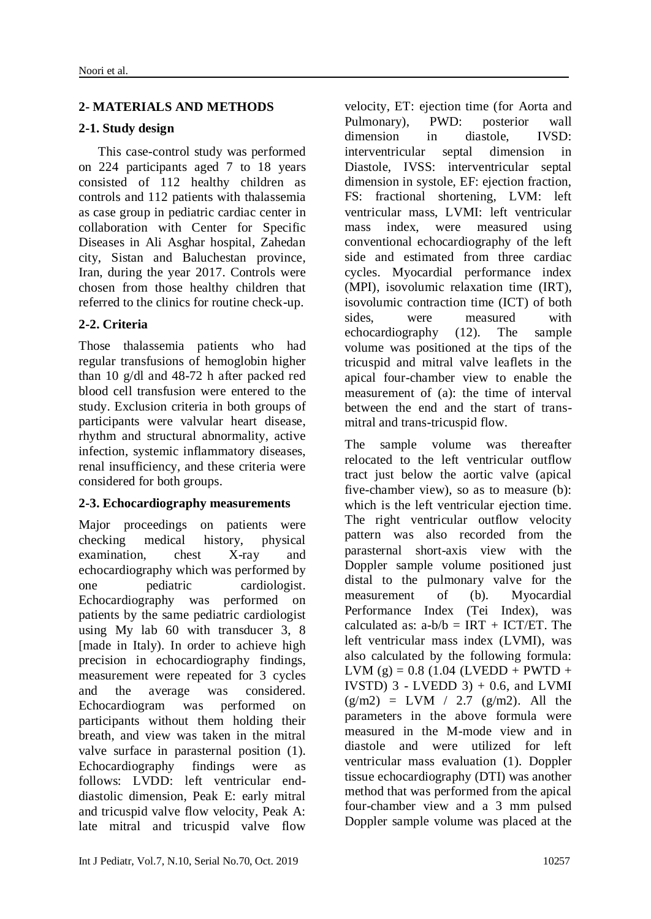## **2- MATERIALS AND METHODS**

#### **2-1. Study design**

 This case-control study was performed on 224 participants aged 7 to 18 years consisted of 112 healthy children as controls and 112 patients with thalassemia as case group in pediatric cardiac center in collaboration with Center for Specific Diseases in Ali Asghar hospital, Zahedan city, Sistan and Baluchestan province, Iran, during the year 2017. Controls were chosen from those healthy children that referred to the clinics for routine check-up.

# **2-2. Criteria**

Those thalassemia patients who had regular transfusions of hemoglobin higher than 10 g/dl and 48-72 h after packed red blood cell transfusion were entered to the study. Exclusion criteria in both groups of participants were valvular heart disease, rhythm and structural abnormality, active infection, systemic inflammatory diseases, renal insufficiency, and these criteria were considered for both groups.

## **2-3. Echocardiography measurements**

Major proceedings on patients were checking medical history, physical examination, chest X-ray and echocardiography which was performed by one pediatric cardiologist. Echocardiography was performed on patients by the same pediatric cardiologist using My lab 60 with transducer 3, 8 [made in Italy). In order to achieve high precision in echocardiography findings, measurement were repeated for 3 cycles and the average was considered. Echocardiogram was performed on participants without them holding their breath, and view was taken in the mitral valve surface in parasternal position (1). Echocardiography findings were as follows: LVDD: left ventricular enddiastolic dimension, Peak E: early mitral and tricuspid valve flow velocity, Peak A: late mitral and tricuspid valve flow

velocity, ET: ejection time (for Aorta and Pulmonary), PWD: posterior wall dimension in diastole, IVSD: interventricular septal dimension in Diastole, IVSS: interventricular septal dimension in systole, EF: ejection fraction, FS: fractional shortening, LVM: left ventricular mass, LVMI: left ventricular mass index, were measured using conventional echocardiography of the left side and estimated from three cardiac cycles. Myocardial performance index (MPI), isovolumic relaxation time (IRT), isovolumic contraction time (ICT) of both sides, were measured with echocardiography (12). The sample volume was positioned at the tips of the tricuspid and mitral valve leaflets in the apical four-chamber view to enable the measurement of (a): the time of interval between the end and the start of transmitral and trans-tricuspid flow.

The sample volume was thereafter relocated to the left ventricular outflow tract just below the aortic valve (apical five-chamber view), so as to measure (b): which is the left ventricular ejection time. The right ventricular outflow velocity pattern was also recorded from the parasternal short-axis view with the Doppler sample volume positioned just distal to the pulmonary valve for the measurement of (b). Myocardial Performance Index (Tei Index), was calculated as:  $a-b/b = IRT + ICT/ET$ . The left ventricular mass index (LVMI), was also calculated by the following formula: LVM  $(g) = 0.8$  (1.04 (LVEDD + PWTD + IVSTD)  $3$  - LVEDD  $3$ ) + 0.6, and LVMI  $(g/m2) = LVM / 2.7 (g/m2)$ . All the parameters in the above formula were measured in the M-mode view and in diastole and were utilized for left ventricular mass evaluation (1). Doppler tissue echocardiography (DTI) was another method that was performed from the apical four-chamber view and a 3 mm pulsed Doppler sample volume was placed at the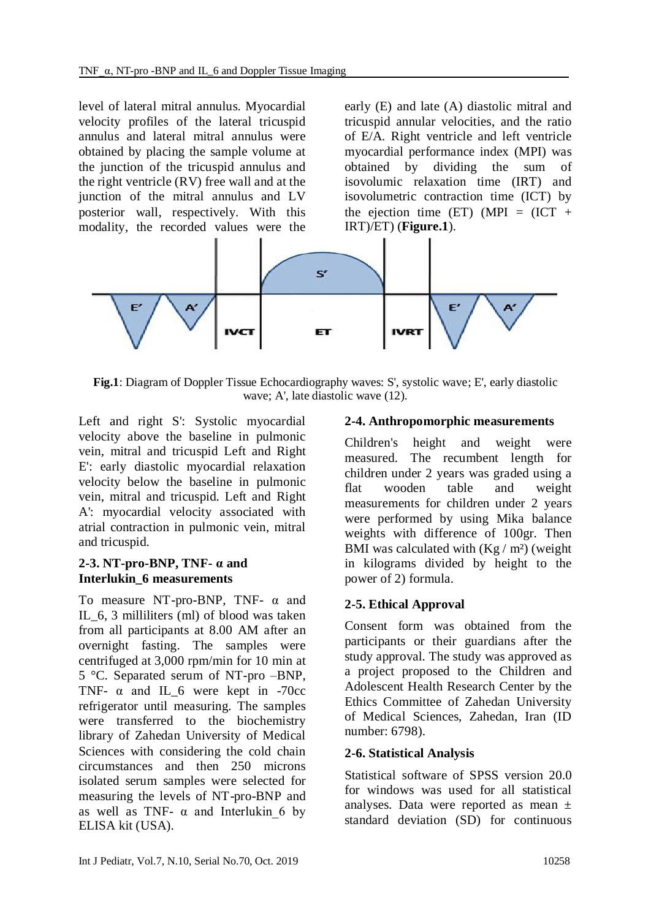level of lateral mitral annulus. Myocardial velocity profiles of the lateral tricuspid annulus and lateral mitral annulus were obtained by placing the sample volume at the junction of the tricuspid annulus and the right ventricle (RV) free wall and at the junction of the mitral annulus and LV posterior wall, respectively. With this modality, the recorded values were the early (E) and late (A) diastolic mitral and tricuspid annular velocities, and the ratio of E/A. Right ventricle and left ventricle myocardial performance index (MPI) was obtained by dividing the sum of isovolumic relaxation time (IRT) and isovolumetric contraction time (ICT) by the ejection time (ET) (MPI =  $(ICT +$ IRT)/ET) (**Figure.1**).



**Fig.1**: Diagram of Doppler Tissue Echocardiography waves: S', systolic wave; E', early diastolic wave; A', late diastolic wave (12).

Left and right S': Systolic myocardial velocity above the baseline in pulmonic vein, mitral and tricuspid Left and Right E': early diastolic myocardial relaxation velocity below the baseline in pulmonic vein, mitral and tricuspid. Left and Right A': myocardial velocity associated with atrial contraction in pulmonic vein, mitral and tricuspid.

## **2-3. NT-pro-BNP, TNF- α and Interlukin\_6 measurements**

To measure NT-pro-BNP, TNF-  $\alpha$  and IL 6, 3 milliliters (ml) of blood was taken from all participants at 8.00 AM after an overnight fasting. The samples were centrifuged at 3,000 rpm/min for 10 min at 5 °C. Separated serum of NT-pro –BNP, TNF-  $\alpha$  and IL\_6 were kept in -70cc refrigerator until measuring. The samples were transferred to the biochemistry library of Zahedan University of Medical Sciences with considering the cold chain circumstances and then 250 microns isolated serum samples were selected for measuring the levels of NT-pro-BNP and as well as TNF-  $\alpha$  and Interlukin 6 by ELISA kit (USA).

## **2-4. Anthropomorphic measurements**

Children's height and weight were measured. The recumbent length for children under 2 years was graded using a flat wooden table and weight measurements for children under 2 years were performed by using Mika balance weights with difference of 100gr. Then BMI was calculated with  $(Kg/m^2)$  (weight in kilograms divided by height to the power of 2) formula.

## **2-5. Ethical Approval**

Consent form was obtained from the participants or their guardians after the study approval. The study was approved as a project proposed to the Children and Adolescent Health Research Center by the Ethics Committee of Zahedan University of Medical Sciences, Zahedan, Iran (ID number: 6798).

## **2-6. Statistical Analysis**

Statistical software of SPSS version 20.0 for windows was used for all statistical analyses. Data were reported as mean ± standard deviation (SD) for continuous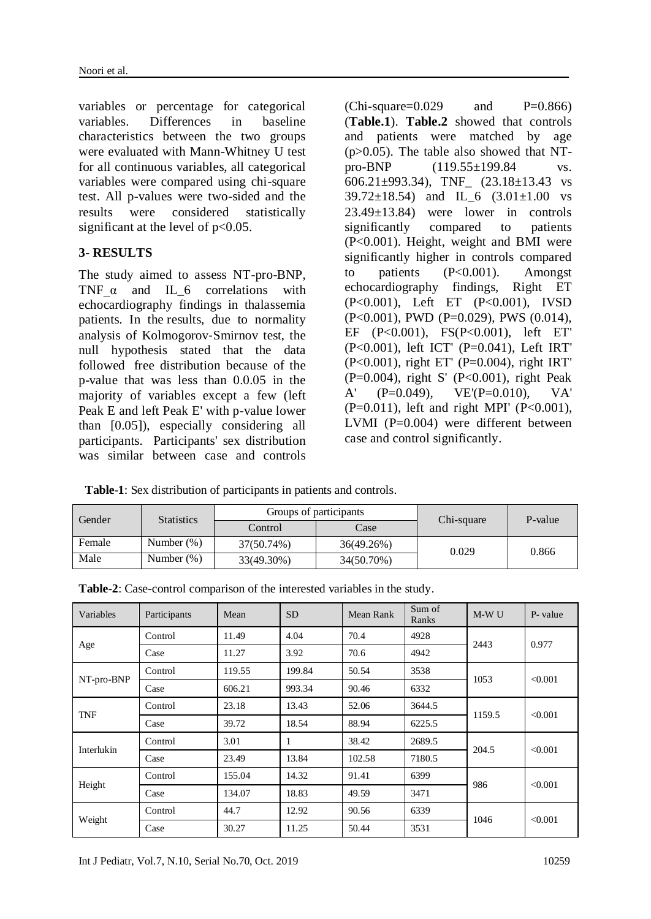variables or percentage for categorical variables. Differences in baseline characteristics between the two groups were evaluated with Mann-Whitney U test for all continuous variables, all categorical variables were compared using chi-square test. All p-values were two-sided and the results were considered statistically significant at the level of  $p<0.05$ .

#### **3- RESULTS**

The study aimed to assess NT-pro-BNP, TNF  $\alpha$  and IL 6 correlations with echocardiography findings in thalassemia patients. In the results, due to normality analysis of Kolmogorov‐Smirnov test, the null hypothesis stated that the data followed free distribution because of the p-value that was less than 0.0.05 in the majority of variables except a few (left Peak E and left Peak E' with p-value lower than [0.05]), especially considering all participants. Participants' sex distribution was similar between case and controls

 $(Chi-square=0.029$  and  $P=0.866$ (**Table.1**). **Table.2** showed that controls and patients were matched by age  $(p>0.05)$ . The table also showed that NTpro-BNP (119.55±199.84 vs. 606.21±993.34), TNF\_ (23.18±13.43 vs  $39.72 \pm 18.54$  and IL 6  $(3.01 \pm 1.00 \text{ vs }$ 23.49±13.84) were lower in controls significantly compared to patients (P<0.001). Height, weight and BMI were significantly higher in controls compared to patients (P<0.001). Amongst echocardiography findings, Right ET (P<0.001), Left ET (P<0.001), IVSD (P<0.001), PWD (P=0.029), PWS (0.014), EF (P<0.001), FS(P<0.001), left ET' (P<0.001), left ICT' (P=0.041), Left IRT' (P<0.001), right ET' (P=0.004), right IRT' (P=0.004), right S' (P<0.001), right Peak A'  $(P=0.049)$ ,  $VE'(P=0.010)$ ,  $VA'$ (P=0.011), left and right MPI' (P<0.001), LVMI (P=0.004) were different between case and control significantly.

 **Table-1**: Sex distribution of participants in patients and controls.

| Gender | <b>Statistics</b> |            | Groups of participants | Chi-square | P-value |  |
|--------|-------------------|------------|------------------------|------------|---------|--|
|        |                   | Control    | Case                   |            |         |  |
| Female | Number $(\%)$     | 37(50.74%) | 36(49.26%)             | 0.029      | 0.866   |  |
| Male   | Number $(\%)$     | 33(49.30%) | 34(50.70%)             |            |         |  |

| Table-2: Case-control comparison of the interested variables in the study. |  |
|----------------------------------------------------------------------------|--|
|                                                                            |  |

| Variables                                           | Participants | Mean   | <b>SD</b> | Mean Rank | Sum of<br>Ranks                                                                                                                                                                                | M-W U | P-value |  |
|-----------------------------------------------------|--------------|--------|-----------|-----------|------------------------------------------------------------------------------------------------------------------------------------------------------------------------------------------------|-------|---------|--|
|                                                     | Control      | 11.49  | 4.04      | 70.4      | 4928                                                                                                                                                                                           |       |         |  |
|                                                     | Case         | 11.27  | 3.92      | 70.6      | 4942                                                                                                                                                                                           |       |         |  |
|                                                     | Control      | 119.55 | 199.84    | 50.54     | 3538                                                                                                                                                                                           |       |         |  |
|                                                     | Case         | 606.21 | 993.34    | 90.46     | 2443<br>0.977<br>< 0.001<br>1053<br>6332<br>3644.5<br>1159.5<br>< 0.001<br>6225.5<br>2689.5<br>204.5<br>< 0.001<br>7180.5<br>6399<br>986<br>< 0.001<br>3471<br>6339<br>1046<br>< 0.001<br>3531 |       |         |  |
| TNF                                                 | Control      | 23.18  | 13.43     | 52.06     |                                                                                                                                                                                                |       |         |  |
|                                                     | Case         | 39.72  | 18.54     | 88.94     |                                                                                                                                                                                                |       |         |  |
|                                                     | Control      | 3.01   | 1         | 38.42     |                                                                                                                                                                                                |       |         |  |
| Age<br>NT-pro-BNP<br>Interlukin<br>Height<br>Weight | Case         | 23.49  | 13.84     | 102.58    |                                                                                                                                                                                                |       |         |  |
|                                                     | Control      | 155.04 | 14.32     | 91.41     |                                                                                                                                                                                                |       |         |  |
|                                                     | Case         | 134.07 | 18.83     | 49.59     |                                                                                                                                                                                                |       |         |  |
|                                                     | Control      | 44.7   | 12.92     | 90.56     |                                                                                                                                                                                                |       |         |  |
|                                                     | Case         | 30.27  | 11.25     | 50.44     |                                                                                                                                                                                                |       |         |  |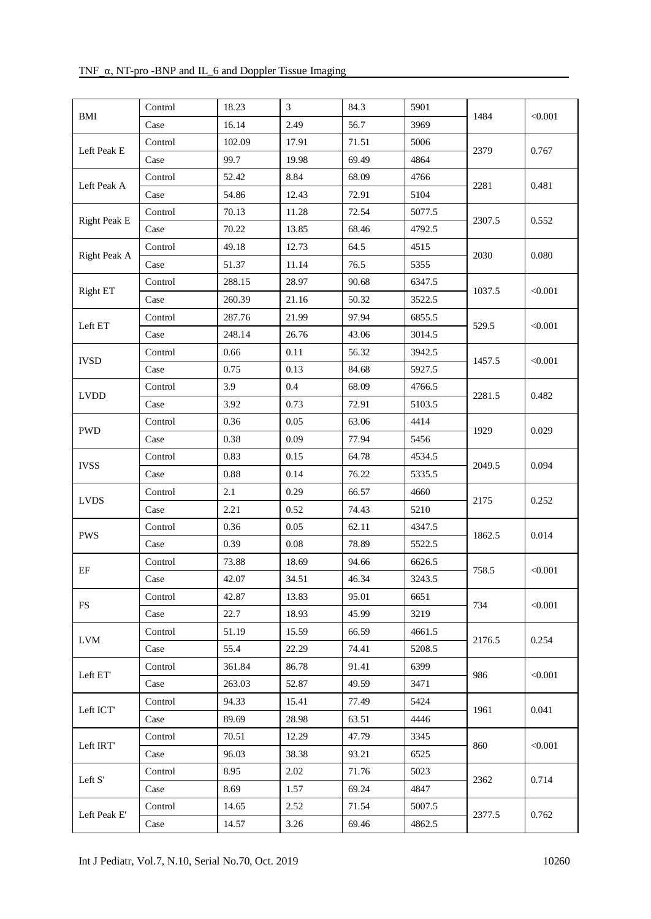#### TNF\_α, NT-pro -BNP and IL\_6 and Doppler Tissue Imaging

|                                                                                                                                                                                                                                                                                                | Control | 18.23  | 3        | 84.3                                                                                                                                                  | 5901                                                                                                                                                                                                                                                                                                                                                                                                                                                                                            |  |                                                                                                                                                                                                           |
|------------------------------------------------------------------------------------------------------------------------------------------------------------------------------------------------------------------------------------------------------------------------------------------------|---------|--------|----------|-------------------------------------------------------------------------------------------------------------------------------------------------------|-------------------------------------------------------------------------------------------------------------------------------------------------------------------------------------------------------------------------------------------------------------------------------------------------------------------------------------------------------------------------------------------------------------------------------------------------------------------------------------------------|--|-----------------------------------------------------------------------------------------------------------------------------------------------------------------------------------------------------------|
|                                                                                                                                                                                                                                                                                                | Case    | 16.14  | 2.49     | 56.7                                                                                                                                                  | 3969                                                                                                                                                                                                                                                                                                                                                                                                                                                                                            |  |                                                                                                                                                                                                           |
|                                                                                                                                                                                                                                                                                                | Control | 102.09 | 17.91    | 71.51                                                                                                                                                 | 5006                                                                                                                                                                                                                                                                                                                                                                                                                                                                                            |  |                                                                                                                                                                                                           |
|                                                                                                                                                                                                                                                                                                | Case    | 99.7   | 19.98    | 69.49                                                                                                                                                 | 4864                                                                                                                                                                                                                                                                                                                                                                                                                                                                                            |  |                                                                                                                                                                                                           |
|                                                                                                                                                                                                                                                                                                | Control | 52.42  | 8.84     | 68.09                                                                                                                                                 | 4766                                                                                                                                                                                                                                                                                                                                                                                                                                                                                            |  |                                                                                                                                                                                                           |
| $\operatorname{BMI}$<br>Left Peak E<br>Left Peak A<br><b>Right Peak E</b><br>Right Peak A<br>Right ET<br>Left ET<br><b>IVSD</b><br><b>LVDD</b><br><b>PWD</b><br><b>IVSS</b><br><b>LVDS</b><br><b>PWS</b><br>$\rm EF$<br><b>FS</b><br><b>LVM</b><br>Left ET'<br>Left ICT<br>Left IRT<br>Left S' | Case    | 54.86  | 12.43    | 72.91                                                                                                                                                 | 5104                                                                                                                                                                                                                                                                                                                                                                                                                                                                                            |  |                                                                                                                                                                                                           |
|                                                                                                                                                                                                                                                                                                | Control | 70.13  | 11.28    | 72.54                                                                                                                                                 | 5077.5                                                                                                                                                                                                                                                                                                                                                                                                                                                                                          |  |                                                                                                                                                                                                           |
| Left Peak E'                                                                                                                                                                                                                                                                                   | Case    | 70.22  | 13.85    | 68.46                                                                                                                                                 | 4792.5                                                                                                                                                                                                                                                                                                                                                                                                                                                                                          |  |                                                                                                                                                                                                           |
|                                                                                                                                                                                                                                                                                                | Control | 49.18  | 12.73    | 64.5                                                                                                                                                  | 4515                                                                                                                                                                                                                                                                                                                                                                                                                                                                                            |  |                                                                                                                                                                                                           |
|                                                                                                                                                                                                                                                                                                | Case    | 51.37  | 11.14    | 76.5                                                                                                                                                  | 1484<br>2379<br>2281<br>2307.5<br>2030<br>5355<br>6347.5<br>1037.5<br>3522.5<br>6855.5<br>529.5<br>3014.5<br>3942.5<br>1457.5<br>5927.5<br>4766.5<br>2281.5<br>5103.5<br>4414<br>1929<br>5456<br>4534.5<br>2049.5<br>5335.5<br>4660<br>2175<br>5210<br>4347.5<br>1862.5<br>5522.5<br>6626.5<br>758.5<br>3243.5<br>6651<br>734<br>3219<br>4661.5<br>2176.5<br>5208.5<br>6399<br>986<br>3471<br>5424<br>1961<br>4446<br>3345<br>860<br>6525<br>5023<br>2362<br>4847<br>5007.5<br>2377.5<br>4862.5 |  |                                                                                                                                                                                                           |
|                                                                                                                                                                                                                                                                                                | Control | 288.15 | 28.97    | 90.68                                                                                                                                                 |                                                                                                                                                                                                                                                                                                                                                                                                                                                                                                 |  |                                                                                                                                                                                                           |
|                                                                                                                                                                                                                                                                                                | Case    | 260.39 | 21.16    | 50.32                                                                                                                                                 |                                                                                                                                                                                                                                                                                                                                                                                                                                                                                                 |  |                                                                                                                                                                                                           |
|                                                                                                                                                                                                                                                                                                | Control | 287.76 | 21.99    | 97.94                                                                                                                                                 |                                                                                                                                                                                                                                                                                                                                                                                                                                                                                                 |  | < 0.001<br>0.767<br>0.481<br>0.552<br>0.080<br>< 0.001<br>< 0.001<br>< 0.001<br>0.482<br>0.029<br>0.094<br>0.252<br>0.014<br>< 0.001<br>< 0.001<br>0.254<br>< 0.001<br>0.041<br>< 0.001<br>0.714<br>0.762 |
|                                                                                                                                                                                                                                                                                                | Case    | 248.14 | 26.76    | 43.06                                                                                                                                                 |                                                                                                                                                                                                                                                                                                                                                                                                                                                                                                 |  |                                                                                                                                                                                                           |
|                                                                                                                                                                                                                                                                                                | Control | 0.66   | 0.11     | 56.32                                                                                                                                                 |                                                                                                                                                                                                                                                                                                                                                                                                                                                                                                 |  |                                                                                                                                                                                                           |
|                                                                                                                                                                                                                                                                                                | Case    | 0.75   | 0.13     | 84.68                                                                                                                                                 |                                                                                                                                                                                                                                                                                                                                                                                                                                                                                                 |  |                                                                                                                                                                                                           |
|                                                                                                                                                                                                                                                                                                | Control | 3.9    | 0.4      | 68.09                                                                                                                                                 |                                                                                                                                                                                                                                                                                                                                                                                                                                                                                                 |  |                                                                                                                                                                                                           |
|                                                                                                                                                                                                                                                                                                | Case    | 3.92   | 0.73     | 72.91                                                                                                                                                 |                                                                                                                                                                                                                                                                                                                                                                                                                                                                                                 |  |                                                                                                                                                                                                           |
|                                                                                                                                                                                                                                                                                                | Control | 0.36   | 0.05     | 63.06                                                                                                                                                 |                                                                                                                                                                                                                                                                                                                                                                                                                                                                                                 |  |                                                                                                                                                                                                           |
|                                                                                                                                                                                                                                                                                                | Case    | 0.38   | 0.09     | 77.94                                                                                                                                                 |                                                                                                                                                                                                                                                                                                                                                                                                                                                                                                 |  |                                                                                                                                                                                                           |
|                                                                                                                                                                                                                                                                                                | Control | 0.83   | 0.15     | 64.78                                                                                                                                                 |                                                                                                                                                                                                                                                                                                                                                                                                                                                                                                 |  |                                                                                                                                                                                                           |
|                                                                                                                                                                                                                                                                                                | Case    | 0.88   | 0.14     | 76.22                                                                                                                                                 |                                                                                                                                                                                                                                                                                                                                                                                                                                                                                                 |  |                                                                                                                                                                                                           |
|                                                                                                                                                                                                                                                                                                | Control | 2.1    | 0.29     | 66.57                                                                                                                                                 |                                                                                                                                                                                                                                                                                                                                                                                                                                                                                                 |  |                                                                                                                                                                                                           |
|                                                                                                                                                                                                                                                                                                | Case    | 2.21   | 0.52     | 74.43                                                                                                                                                 |                                                                                                                                                                                                                                                                                                                                                                                                                                                                                                 |  |                                                                                                                                                                                                           |
|                                                                                                                                                                                                                                                                                                | Control | 0.36   | $0.05\,$ | 62.11                                                                                                                                                 |                                                                                                                                                                                                                                                                                                                                                                                                                                                                                                 |  |                                                                                                                                                                                                           |
|                                                                                                                                                                                                                                                                                                | Case    | 0.39   | $0.08\,$ | 78.89<br>94.66<br>46.34<br>95.01<br>45.99<br>66.59<br>74.41<br>91.41<br>49.59<br>77.49<br>63.51<br>47.79<br>93.21<br>71.76<br>69.24<br>71.54<br>69.46 |                                                                                                                                                                                                                                                                                                                                                                                                                                                                                                 |  |                                                                                                                                                                                                           |
|                                                                                                                                                                                                                                                                                                | Control | 73.88  | 18.69    |                                                                                                                                                       |                                                                                                                                                                                                                                                                                                                                                                                                                                                                                                 |  |                                                                                                                                                                                                           |
|                                                                                                                                                                                                                                                                                                | Case    | 42.07  | 34.51    |                                                                                                                                                       |                                                                                                                                                                                                                                                                                                                                                                                                                                                                                                 |  |                                                                                                                                                                                                           |
|                                                                                                                                                                                                                                                                                                | Control | 42.87  | 13.83    |                                                                                                                                                       |                                                                                                                                                                                                                                                                                                                                                                                                                                                                                                 |  |                                                                                                                                                                                                           |
|                                                                                                                                                                                                                                                                                                | Case    | 22.7   | 18.93    |                                                                                                                                                       |                                                                                                                                                                                                                                                                                                                                                                                                                                                                                                 |  |                                                                                                                                                                                                           |
|                                                                                                                                                                                                                                                                                                | Control | 51.19  | 15.59    |                                                                                                                                                       |                                                                                                                                                                                                                                                                                                                                                                                                                                                                                                 |  |                                                                                                                                                                                                           |
|                                                                                                                                                                                                                                                                                                | Case    | 55.4   | 22.29    |                                                                                                                                                       |                                                                                                                                                                                                                                                                                                                                                                                                                                                                                                 |  |                                                                                                                                                                                                           |
|                                                                                                                                                                                                                                                                                                | Control | 361.84 | 86.78    |                                                                                                                                                       |                                                                                                                                                                                                                                                                                                                                                                                                                                                                                                 |  |                                                                                                                                                                                                           |
|                                                                                                                                                                                                                                                                                                | Case    | 263.03 | 52.87    |                                                                                                                                                       |                                                                                                                                                                                                                                                                                                                                                                                                                                                                                                 |  |                                                                                                                                                                                                           |
|                                                                                                                                                                                                                                                                                                | Control | 94.33  | 15.41    |                                                                                                                                                       |                                                                                                                                                                                                                                                                                                                                                                                                                                                                                                 |  |                                                                                                                                                                                                           |
|                                                                                                                                                                                                                                                                                                | Case    | 89.69  | 28.98    |                                                                                                                                                       |                                                                                                                                                                                                                                                                                                                                                                                                                                                                                                 |  |                                                                                                                                                                                                           |
|                                                                                                                                                                                                                                                                                                | Control | 70.51  | 12.29    |                                                                                                                                                       |                                                                                                                                                                                                                                                                                                                                                                                                                                                                                                 |  |                                                                                                                                                                                                           |
|                                                                                                                                                                                                                                                                                                | Case    | 96.03  | 38.38    |                                                                                                                                                       |                                                                                                                                                                                                                                                                                                                                                                                                                                                                                                 |  |                                                                                                                                                                                                           |
|                                                                                                                                                                                                                                                                                                | Control | 8.95   | 2.02     |                                                                                                                                                       |                                                                                                                                                                                                                                                                                                                                                                                                                                                                                                 |  |                                                                                                                                                                                                           |
|                                                                                                                                                                                                                                                                                                | Case    | 8.69   | 1.57     |                                                                                                                                                       |                                                                                                                                                                                                                                                                                                                                                                                                                                                                                                 |  |                                                                                                                                                                                                           |
|                                                                                                                                                                                                                                                                                                | Control | 14.65  | 2.52     |                                                                                                                                                       |                                                                                                                                                                                                                                                                                                                                                                                                                                                                                                 |  |                                                                                                                                                                                                           |
|                                                                                                                                                                                                                                                                                                | Case    | 14.57  | 3.26     |                                                                                                                                                       |                                                                                                                                                                                                                                                                                                                                                                                                                                                                                                 |  |                                                                                                                                                                                                           |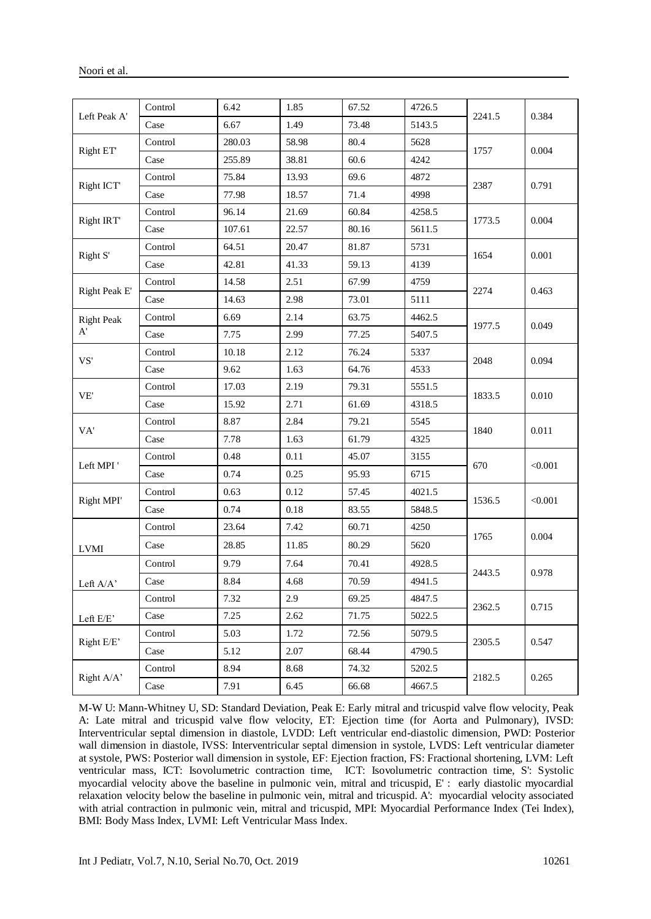|                                       | Control | 6.42   | 1.85  | 67.52                                                                                                                                                                                                                                                                                                                    | 4726.5                                                                                                                                                                                                                                                                    |       |         |  |
|---------------------------------------|---------|--------|-------|--------------------------------------------------------------------------------------------------------------------------------------------------------------------------------------------------------------------------------------------------------------------------------------------------------------------------|---------------------------------------------------------------------------------------------------------------------------------------------------------------------------------------------------------------------------------------------------------------------------|-------|---------|--|
| Left Peak A'                          | Case    | 6.67   | 1.49  | 73.48                                                                                                                                                                                                                                                                                                                    | 5143.5                                                                                                                                                                                                                                                                    |       | 0.384   |  |
|                                       | Control | 280.03 | 58.98 | 80.4                                                                                                                                                                                                                                                                                                                     | 5628                                                                                                                                                                                                                                                                      |       |         |  |
| Right ET                              | Case    | 255.89 | 38.81 | 60.6                                                                                                                                                                                                                                                                                                                     | 4242                                                                                                                                                                                                                                                                      |       | 0.004   |  |
|                                       | Control | 75.84  | 13.93 | 69.6<br>4872<br>71.4<br>4998<br>4258.5<br>60.84<br>80.16<br>5611.5<br>81.87<br>5731<br>59.13<br>4139<br>67.99<br>4759<br>73.01<br>5111<br>4462.5<br>63.75<br>5407.5<br>77.25<br>76.24<br>5337<br>4533<br>64.76<br>79.31<br>5551.5<br>61.69<br>4318.5<br>79.21<br>5545<br>61.79<br>4325<br>45.07<br>3155<br>6715<br>95.93 |                                                                                                                                                                                                                                                                           |       |         |  |
| Right ICT                             | Case    | 77.98  | 18.57 |                                                                                                                                                                                                                                                                                                                          |                                                                                                                                                                                                                                                                           |       | 0.791   |  |
|                                       | Control | 96.14  | 21.69 |                                                                                                                                                                                                                                                                                                                          |                                                                                                                                                                                                                                                                           |       | 0.004   |  |
| Right IRT                             | Case    | 107.61 | 22.57 |                                                                                                                                                                                                                                                                                                                          |                                                                                                                                                                                                                                                                           |       |         |  |
|                                       | Control | 64.51  | 20.47 |                                                                                                                                                                                                                                                                                                                          | 2241.5<br>1757<br>2387<br>1773.5<br>1654<br>2274<br>1977.5<br>2048<br>1833.5<br>1840<br>670<br>4021.5<br>1536.5<br>5848.5<br>4250<br>1765<br>5620<br>4928.5<br>2443.5<br>4941.5<br>4847.5<br>2362.5<br>5022.5<br>5079.5<br>2305.5<br>4790.5<br>5202.5<br>2182.5<br>4667.5 | 0.001 |         |  |
| Right S'                              | Case    | 42.81  | 41.33 |                                                                                                                                                                                                                                                                                                                          |                                                                                                                                                                                                                                                                           |       |         |  |
|                                       | Control | 14.58  | 2.51  |                                                                                                                                                                                                                                                                                                                          |                                                                                                                                                                                                                                                                           |       |         |  |
| Right Peak E'                         | Case    | 14.63  | 2.98  |                                                                                                                                                                                                                                                                                                                          |                                                                                                                                                                                                                                                                           |       | 0.463   |  |
| <b>Right Peak</b>                     | Control | 6.69   | 2.14  |                                                                                                                                                                                                                                                                                                                          |                                                                                                                                                                                                                                                                           |       |         |  |
| A'                                    | Case    | 7.75   | 2.99  |                                                                                                                                                                                                                                                                                                                          |                                                                                                                                                                                                                                                                           |       | 0.049   |  |
|                                       | Control | 10.18  | 2.12  |                                                                                                                                                                                                                                                                                                                          |                                                                                                                                                                                                                                                                           |       | 0.094   |  |
| VS'                                   | Case    | 9.62   | 1.63  |                                                                                                                                                                                                                                                                                                                          |                                                                                                                                                                                                                                                                           |       |         |  |
| VE'                                   | Control | 17.03  | 2.19  |                                                                                                                                                                                                                                                                                                                          |                                                                                                                                                                                                                                                                           |       |         |  |
|                                       | Case    | 15.92  | 2.71  |                                                                                                                                                                                                                                                                                                                          |                                                                                                                                                                                                                                                                           |       | 0.010   |  |
| VA'                                   | Control | 8.87   | 2.84  |                                                                                                                                                                                                                                                                                                                          |                                                                                                                                                                                                                                                                           |       |         |  |
|                                       | Case    | 7.78   | 1.63  |                                                                                                                                                                                                                                                                                                                          |                                                                                                                                                                                                                                                                           |       | 0.011   |  |
|                                       | Control | 0.48   | 0.11  |                                                                                                                                                                                                                                                                                                                          |                                                                                                                                                                                                                                                                           |       |         |  |
| Left MPI'                             | Case    | 0.74   | 0.25  |                                                                                                                                                                                                                                                                                                                          |                                                                                                                                                                                                                                                                           |       | < 0.001 |  |
|                                       | Control | 0.63   | 0.12  | 57.45                                                                                                                                                                                                                                                                                                                    |                                                                                                                                                                                                                                                                           |       |         |  |
| Right MPI'                            | Case    | 0.74   | 0.18  | 83.55                                                                                                                                                                                                                                                                                                                    |                                                                                                                                                                                                                                                                           |       | < 0.001 |  |
|                                       | Control | 23.64  | 7.42  | 60.71                                                                                                                                                                                                                                                                                                                    |                                                                                                                                                                                                                                                                           |       |         |  |
| <b>LVMI</b>                           | Case    | 28.85  | 11.85 | 80.29                                                                                                                                                                                                                                                                                                                    |                                                                                                                                                                                                                                                                           |       | 0.004   |  |
|                                       | Control | 9.79   | 7.64  | 70.41                                                                                                                                                                                                                                                                                                                    |                                                                                                                                                                                                                                                                           |       |         |  |
| Left $\mathbf{A}/\mathbf{A}^{\prime}$ | Case    | 8.84   | 4.68  | 70.59                                                                                                                                                                                                                                                                                                                    |                                                                                                                                                                                                                                                                           |       | 0.978   |  |
|                                       | Control | 7.32   | 2.9   | 69.25                                                                                                                                                                                                                                                                                                                    |                                                                                                                                                                                                                                                                           |       |         |  |
| Left E/E'                             | Case    | 7.25   | 2.62  | 71.75                                                                                                                                                                                                                                                                                                                    |                                                                                                                                                                                                                                                                           |       | 0.715   |  |
|                                       | Control | 5.03   | 1.72  | 72.56                                                                                                                                                                                                                                                                                                                    |                                                                                                                                                                                                                                                                           |       |         |  |
| Right E/E'                            | Case    | 5.12   | 2.07  | 68.44                                                                                                                                                                                                                                                                                                                    |                                                                                                                                                                                                                                                                           |       | 0.547   |  |
|                                       | Control | 8.94   | 8.68  | 74.32                                                                                                                                                                                                                                                                                                                    |                                                                                                                                                                                                                                                                           |       | 0.265   |  |
| Right A/A'                            | Case    | 7.91   | 6.45  | 66.68                                                                                                                                                                                                                                                                                                                    |                                                                                                                                                                                                                                                                           |       |         |  |

M-W U: Mann-Whitney U, SD: Standard Deviation, Peak E: Early mitral and tricuspid valve flow velocity, Peak A: Late mitral and tricuspid valve flow velocity, ET: Ejection time (for Aorta and Pulmonary), IVSD: Interventricular septal dimension in diastole, LVDD: Left ventricular end-diastolic dimension, PWD: Posterior wall dimension in diastole, IVSS: Interventricular septal dimension in systole, LVDS: Left ventricular diameter at systole, PWS: Posterior wall dimension in systole, EF: Ejection fraction, FS: Fractional shortening, LVM: Left ventricular mass, ICT: Isovolumetric contraction time, ICT: Isovolumetric contraction time, S': Systolic myocardial velocity above the baseline in pulmonic vein, mitral and tricuspid, E' : early diastolic myocardial relaxation velocity below the baseline in pulmonic vein, mitral and tricuspid. A': myocardial velocity associated with atrial contraction in pulmonic vein, mitral and tricuspid, MPI: Myocardial Performance Index (Tei Index), BMI: Body Mass Index, LVMI: Left Ventricular Mass Index.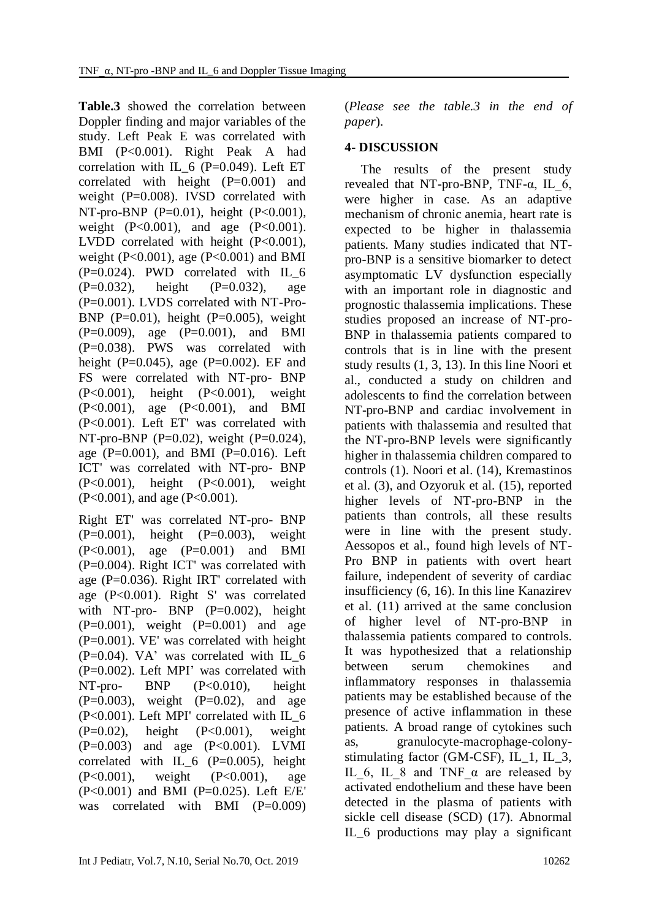**Table.3** showed the correlation between Doppler finding and major variables of the study. Left Peak E was correlated with BMI (P<0.001). Right Peak A had correlation with IL  $6$  (P=0.049). Left ET correlated with height (P=0.001) and weight (P=0.008). IVSD correlated with NT-pro-BNP (P=0.01), height (P<0.001), weight (P<0.001), and age (P<0.001). LVDD correlated with height (P<0.001), weight (P<0.001), age (P<0.001) and BMI  $(P=0.024)$ . PWD correlated with IL 6  $(P=0.032)$ , height  $(P=0.032)$ , age (P=0.001). LVDS correlated with NT-Pro-BNP  $(P=0.01)$ , height  $(P=0.005)$ , weight  $(P=0.009)$ , age  $(P=0.001)$ , and BMI (P=0.038). PWS was correlated with height (P=0.045), age (P=0.002). EF and FS were correlated with NT-pro- BNP (P<0.001), height (P<0.001), weight (P<0.001), age (P<0.001), and BMI (P<0.001). Left ET' was correlated with NT-pro-BNP (P= $0.02$ ), weight (P= $0.024$ ), age  $(P=0.001)$ , and BMI  $(P=0.016)$ . Left ICT' was correlated with NT-pro- BNP (P<0.001), height (P<0.001), weight (P<0.001), and age (P<0.001).

Right ET' was correlated NT-pro- BNP  $(P=0.001)$ , height  $(P=0.003)$ , weight (P<0.001), age (P=0.001) and BMI (P=0.004). Right ICT' was correlated with age (P=0.036). Right IRT' correlated with age (P<0.001). Right S' was correlated with NT-pro- BNP (P=0.002), height  $(P=0.001)$ , weight  $(P=0.001)$  and age (P=0.001). VE' was correlated with height  $(P=0.04)$ . VA' was correlated with IL\_6 (P=0.002). Left MPI' was correlated with NT-pro- BNP (P<0.010), height  $(P=0.003)$ , weight  $(P=0.02)$ , and age  $(P<0.001)$ . Left MPI' correlated with IL 6 (P=0.02), height (P<0.001), weight (P=0.003) and age (P<0.001). LVMI correlated with IL\_6 (P=0.005), height (P<0.001), weight (P<0.001), age (P<0.001) and BMI (P=0.025). Left E/E' was correlated with BMI  $(P=0.009)$ 

(*Please see the table.3 in the end of paper*).

# **4- DISCUSSION**

 The results of the present study revealed that NT-pro-BNP, TNF- $\alpha$ , IL 6, were higher in case. As an adaptive mechanism of chronic anemia, heart rate is expected to be higher in thalassemia patients. Many studies indicated that NTpro-BNP is a sensitive biomarker to detect asymptomatic LV dysfunction especially with an important role in diagnostic and prognostic thalassemia implications. These studies proposed an increase of NT-pro-BNP in thalassemia patients compared to controls that is in line with the present study results (1, 3, 13). In this line Noori et al., conducted a study on children and adolescents to find the correlation between NT-pro-BNP and cardiac involvement in patients with thalassemia and resulted that the NT-pro-BNP levels were significantly higher in thalassemia children compared to controls (1). Noori et al. (14), Kremastinos et al. (3), and Ozyoruk et al. (15), reported higher levels of NT-pro-BNP in the patients than controls, all these results were in line with the present study. Aessopos et al., found high levels of NT-Pro BNP in patients with overt heart failure, independent of severity of cardiac insufficiency (6, 16). In this line Kanazirev et al. (11) arrived at the same conclusion of higher level of NT-pro-BNP in thalassemia patients compared to controls. It was hypothesized that a relationship between serum chemokines and inflammatory responses in thalassemia patients may be established because of the presence of active inflammation in these patients. A broad range of cytokines such as, granulocyte-macrophage-colonystimulating factor (GM-CSF), IL\_1, IL\_3, IL 6, IL 8 and TNF  $\alpha$  are released by activated endothelium and these have been detected in the plasma of patients with sickle cell disease (SCD) (17). Abnormal IL\_6 productions may play a significant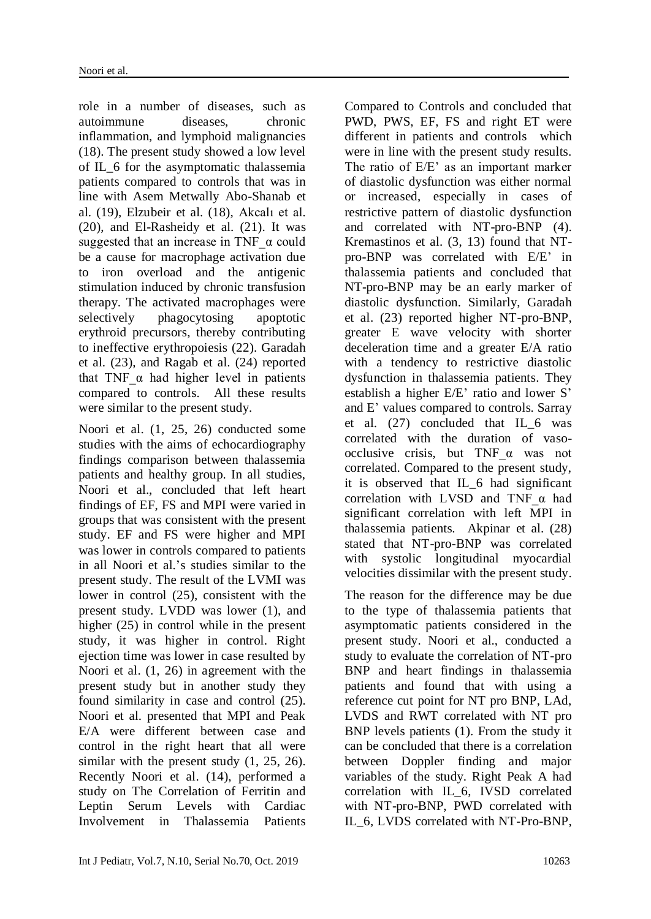role in a number of diseases, such as autoimmune diseases, chronic inflammation, and lymphoid malignancies (18). The present study showed a low level of IL\_6 for the asymptomatic thalassemia patients compared to controls that was in line with Asem Metwally Abo-Shanab et al. (19), Elzubeir et al. (18), Akcalı et al. (20), and El-Rasheidy et al. (21). It was suggested that an increase in TNF  $\alpha$  could be a cause for macrophage activation due to iron overload and the antigenic stimulation induced by chronic transfusion therapy. The activated macrophages were selectively phagocytosing apoptotic erythroid precursors, thereby contributing to ineffective erythropoiesis (22). Garadah et al. (23), and Ragab et al. (24) reported that TNF  $\alpha$  had higher level in patients compared to controls. All these results were similar to the present study.

Noori et al. (1, 25, 26) conducted some studies with the aims of echocardiography findings comparison between thalassemia patients and healthy group. In all studies, Noori et al., concluded that left heart findings of EF, FS and MPI were varied in groups that was consistent with the present study. EF and FS were higher and MPI was lower in controls compared to patients in all Noori et al.'s studies similar to the present study. The result of the LVMI was lower in control (25), consistent with the present study. LVDD was lower (1), and higher (25) in control while in the present study, it was higher in control. Right ejection time was lower in case resulted by Noori et al. (1, 26) in agreement with the present study but in another study they found similarity in case and control (25). Noori et al. presented that MPI and Peak E/A were different between case and control in the right heart that all were similar with the present study  $(1, 25, 26)$ . Recently Noori et al. (14), performed a study on [The Correlation of Ferritin and](http://ijp.mums.ac.ir/article_10548_0.html)  [Leptin Serum Levels with Cardiac](http://ijp.mums.ac.ir/article_10548_0.html)  [Involvement in Thalassemia Patients](http://ijp.mums.ac.ir/article_10548_0.html) 

[Compared to Controls](http://ijp.mums.ac.ir/article_10548_0.html) and concluded that PWD, PWS, EF, FS and right ET were different in patients and controls which were in line with the present study results. The ratio of E/E' as an important marker of diastolic dysfunction was either normal or increased, especially in cases of restrictive pattern of diastolic dysfunction and correlated with NT-pro-BNP (4). Kremastinos et al. (3, 13) found that NTpro-BNP was correlated with E/E' in thalassemia patients and concluded that NT-pro-BNP may be an early marker of diastolic dysfunction. Similarly, Garadah et al. (23) reported higher NT-pro-BNP, greater E wave velocity with shorter deceleration time and a greater E/A ratio with a tendency to restrictive diastolic dysfunction in thalassemia patients. They establish a higher E/E' ratio and lower S' and E' values compared to controls. Sarray et al. (27) concluded that IL\_6 was correlated with the duration of vasoocclusive crisis, but TNF\_α was not correlated. Compared to the present study, it is observed that IL\_6 had significant correlation with LVSD and TNF\_α had significant correlation with left MPI in thalassemia patients. Akpinar et al. (28) stated that NT-pro-BNP was correlated with systolic longitudinal myocardial velocities dissimilar with the present study.

The reason for the difference may be due to the type of thalassemia patients that asymptomatic patients considered in the present study. Noori et al., conducted a study to evaluate the correlation of NT-pro BNP and heart findings in thalassemia patients and found that with using a reference cut point for NT pro BNP, LAd, LVDS and RWT correlated with NT pro BNP levels patients (1). From the study it can be concluded that there is a correlation between Doppler finding and major variables of the study. Right Peak A had correlation with IL\_6, IVSD correlated with NT-pro-BNP, PWD correlated with IL\_6, LVDS correlated with NT-Pro-BNP,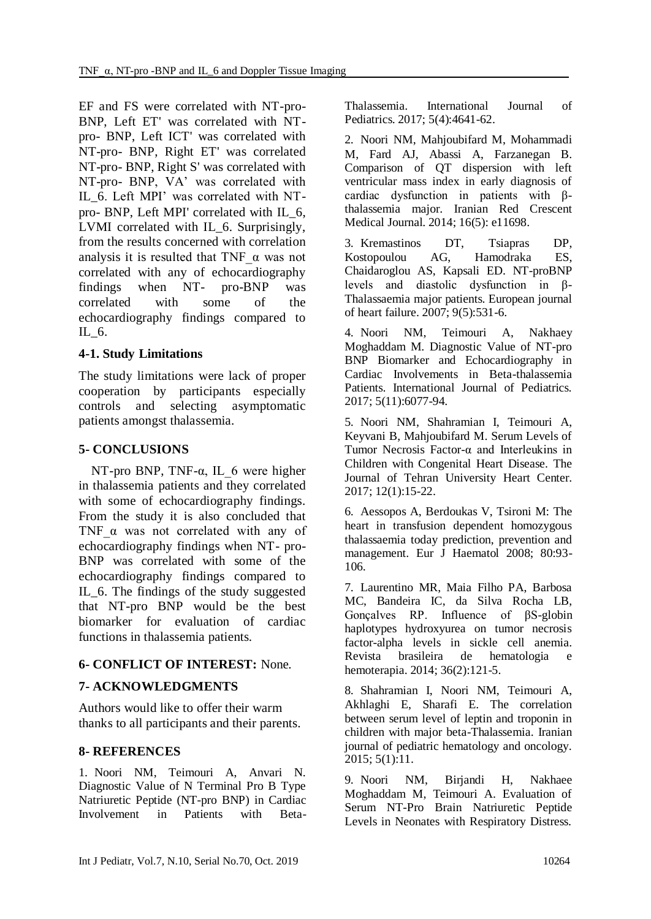EF and FS were correlated with NT-pro-BNP, Left ET' was correlated with NTpro- BNP, Left ICT' was correlated with NT-pro- BNP, Right ET' was correlated NT-pro- BNP, Right S' was correlated with NT-pro- BNP, VA' was correlated with IL\_6. Left MPI' was correlated with NTpro- BNP, Left MPI' correlated with IL\_6, LVMI correlated with IL\_6. Surprisingly, from the results concerned with correlation analysis it is resulted that TNF  $\alpha$  was not correlated with any of echocardiography findings when NT- pro-BNP was correlated with some of the echocardiography findings compared to IL\_6.

#### **4-1. Study Limitations**

The study limitations were lack of proper cooperation by participants especially controls and selecting asymptomatic patients amongst thalassemia.

## **5- CONCLUSIONS**

NT-pro BNP, TNF- $\alpha$ , IL 6 were higher in thalassemia patients and they correlated with some of echocardiography findings. From the study it is also concluded that TNF  $\alpha$  was not correlated with any of echocardiography findings when NT- pro-BNP was correlated with some of the echocardiography findings compared to IL\_6. The findings of the study suggested that NT-pro BNP would be the best biomarker for evaluation of cardiac functions in thalassemia patients.

## **6- CONFLICT OF INTEREST:** None.

## **7- ACKNOWLEDGMENTS**

Authors would like to offer their warm thanks to all participants and their parents.

## **8- REFERENCES**

1. Noori NM, Teimouri A, Anvari N. Diagnostic Value of N Terminal Pro B Type Natriuretic Peptide (NT-pro BNP) in Cardiac Involvement in Patients with BetaThalassemia. International Journal of Pediatrics. 2017; 5(4):4641-62.

2. Noori NM, Mahjoubifard M, Mohammadi M, Fard AJ, Abassi A, Farzanegan B. Comparison of QT dispersion with left ventricular mass index in early diagnosis of cardiac dysfunction in patients with βthalassemia major. Iranian Red Crescent Medical Journal. 2014; 16(5): e11698.

3. Kremastinos DT, Tsiapras DP, Kostopoulou AG, Hamodraka ES, Chaidaroglou AS, Kapsali ED. NT-proBNP levels and diastolic dysfunction in β-Thalassaemia major patients. European journal of heart failure. 2007; 9(5):531-6.

4. Noori NM, Teimouri A, Nakhaey Moghaddam M. Diagnostic Value of NT-pro BNP Biomarker and Echocardiography in Cardiac Involvements in Beta-thalassemia Patients. International Journal of Pediatrics. 2017; 5(11):6077-94.

5. Noori NM, Shahramian I, Teimouri A, Keyvani B, Mahjoubifard M. Serum Levels of Tumor Necrosis Factor-α and Interleukins in Children with Congenital Heart Disease. The Journal of Tehran University Heart Center. 2017; 12(1):15-22.

6. Aessopos A, Berdoukas V, Tsironi M: The heart in transfusion dependent homozygous thalassaemia today prediction, prevention and management. Eur J Haematol 2008; 80:93- 106.

7. Laurentino MR, Maia Filho PA, Barbosa MC, Bandeira IC, da Silva Rocha LB, Gonçalves RP. Influence of βS-globin haplotypes hydroxyurea on tumor necrosis factor-alpha levels in sickle cell anemia. Revista brasileira de hematologia e hemoterapia. 2014; 36(2):121-5.

8. Shahramian I, Noori NM, Teimouri A, Akhlaghi E, Sharafi E. The correlation between serum level of leptin and troponin in children with major beta-Thalassemia. Iranian journal of pediatric hematology and oncology. 2015; 5(1):11.

9. Noori NM, Birjandi H, Nakhaee Moghaddam M, Teimouri A. Evaluation of Serum NT-Pro Brain Natriuretic Peptide Levels in Neonates with Respiratory Distress.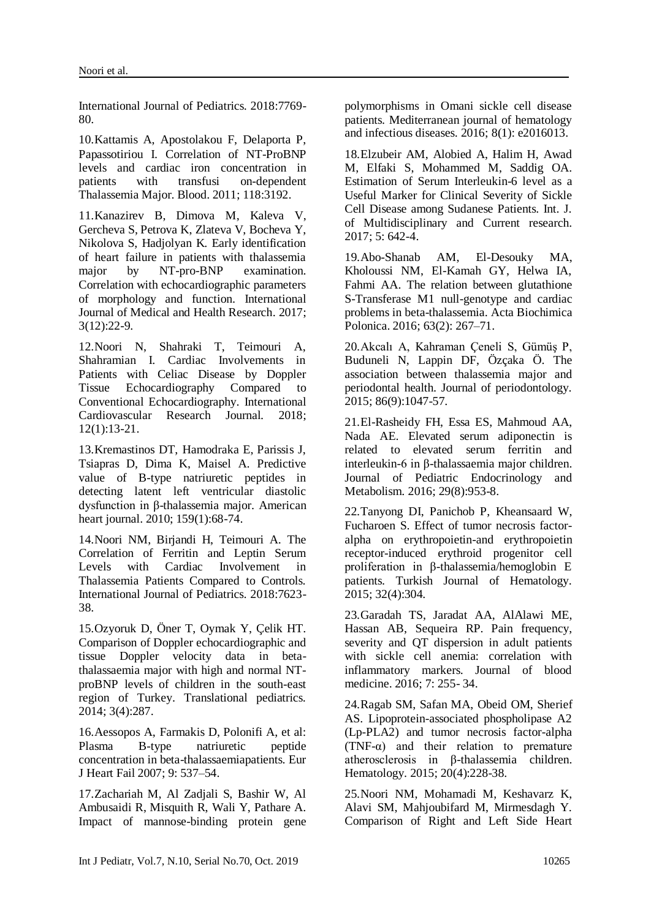International Journal of Pediatrics. 2018:7769- 80.

10.Kattamis A, Apostolakou F, Delaporta P, Papassotiriou I. Correlation of NT-ProBNP levels and cardiac iron concentration in patients with transfusi on-dependent Thalassemia Major. Blood. 2011; 118:3192.

11.Kanazirev B, Dimova M, Kaleva V, Gercheva S, Petrova K, Zlateva V, Bocheva Y, Nikolova S, Hadjolyan K. Early identification of heart failure in patients with thalassemia major by NT-pro-BNP examination. Correlation with echocardiographic parameters of morphology and function. International Journal of Medical and Health Research. 2017; 3(12):22-9.

12.Noori N, Shahraki T, Teimouri A, Shahramian I. Cardiac Involvements in Patients with Celiac Disease by Doppler Tissue Echocardiography Compared to Conventional Echocardiography. International Cardiovascular Research Journal. 2018; 12(1):13-21.

13.Kremastinos DT, Hamodraka E, Parissis J, Tsiapras D, Dima K, Maisel A. Predictive value of B-type natriuretic peptides in detecting latent left ventricular diastolic dysfunction in β-thalassemia major. American heart journal. 2010; 159(1):68-74.

14.Noori NM, Birjandi H, Teimouri A. The Correlation of Ferritin and Leptin Serum Levels with Cardiac Involvement in Thalassemia Patients Compared to Controls. International Journal of Pediatrics. 2018:7623- 38.

15.Ozyoruk D, Öner T, Oymak Y, Çelik HT. Comparison of Doppler echocardiographic and tissue Doppler velocity data in betathalassaemia major with high and normal NTproBNP levels of children in the south-east region of Turkey. Translational pediatrics. 2014; 3(4):287.

16.Aessopos A, Farmakis D, Polonifi A, et al: Plasma B-type natriuretic peptide concentration in beta-thalassaemiapatients. Eur J Heart Fail 2007; 9: 537–54.

17.Zachariah M, Al Zadjali S, Bashir W, Al Ambusaidi R, Misquith R, Wali Y, Pathare A. Impact of mannose-binding protein gene polymorphisms in Omani sickle cell disease patients. Mediterranean journal of hematology and infectious diseases. 2016; 8(1): e2016013.

18.Elzubeir AM, Alobied A, Halim H, Awad M, Elfaki S, Mohammed M, Saddig OA. Estimation of Serum Interleukin-6 level as a Useful Marker for Clinical Severity of Sickle Cell Disease among Sudanese Patients. Int. J. of Multidisciplinary and Current research. 2017; 5: 642-4.

19.Abo-Shanab AM, El-Desouky MA, Kholoussi NM, El-Kamah GY, Helwa IA, Fahmi AA. The relation between glutathione S-Transferase M1 null-genotype and cardiac problems in beta-thalassemia. Acta Biochimica Polonica. 2016; 63(2): 267–71.

20.Akcalı A, Kahraman Çeneli S, Gümüş P, Buduneli N, Lappin DF, Özçaka Ö. The association between thalassemia major and periodontal health. Journal of periodontology. 2015; 86(9):1047-57.

21.El-Rasheidy FH, Essa ES, Mahmoud AA, Nada AE. Elevated serum adiponectin is related to elevated serum ferritin and interleukin-6 in β-thalassaemia major children. Journal of Pediatric Endocrinology Metabolism. 2016; 29(8):953-8.

22.Tanyong DI, Panichob P, Kheansaard W, Fucharoen S. Effect of tumor necrosis factoralpha on erythropoietin-and erythropoietin receptor-induced erythroid progenitor cell proliferation in β-thalassemia/hemoglobin E patients. Turkish Journal of Hematology. 2015; 32(4):304.

23.Garadah TS, Jaradat AA, AlAlawi ME, Hassan AB, Sequeira RP. Pain frequency, severity and QT dispersion in adult patients with sickle cell anemia: correlation with inflammatory markers. Journal of blood medicine. 2016; 7: 255- 34.

24.Ragab SM, Safan MA, Obeid OM, Sherief AS. Lipoprotein-associated phospholipase A2 (Lp-PLA2) and tumor necrosis factor-alpha (TNF- $\alpha$ ) and their relation to premature atherosclerosis in β-thalassemia children. Hematology. 2015; 20(4):228-38.

25.Noori NM, Mohamadi M, Keshavarz K, Alavi SM, Mahjoubifard M, Mirmesdagh Y. Comparison of Right and Left Side Heart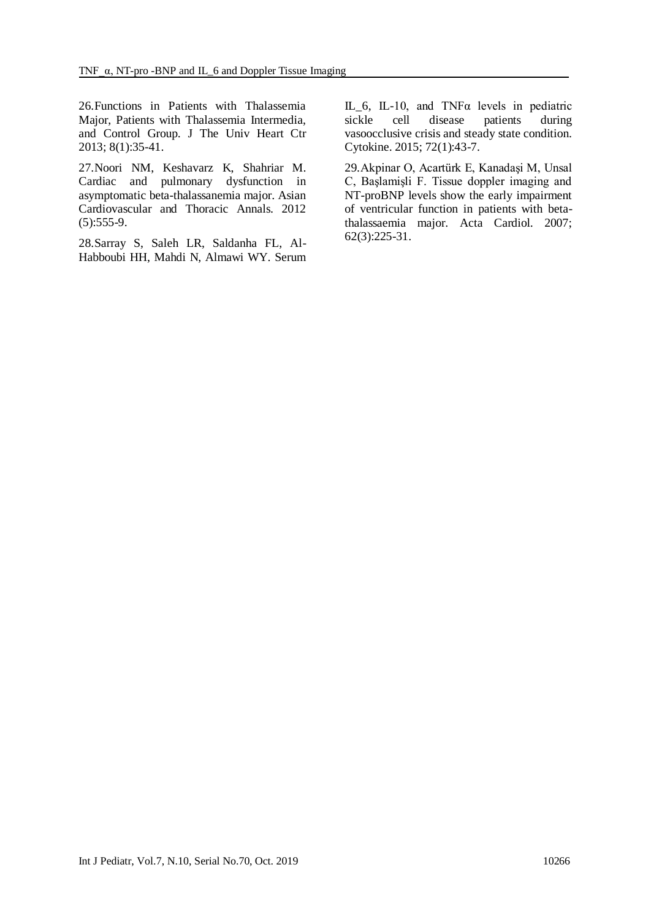26.Functions in Patients with Thalassemia Major, Patients with Thalassemia Intermedia, and Control Group. J The Univ Heart Ctr 2013; 8(1):35-41.

27.Noori NM, Keshavarz K, Shahriar M. Cardiac and pulmonary dysfunction in asymptomatic beta-thalassanemia major. Asian Cardiovascular and Thoracic Annals. 2012  $(5):555-9.$ 

28.Sarray S, Saleh LR, Saldanha FL, Al-Habboubi HH, Mahdi N, Almawi WY. Serum IL\_6, IL-10, and TNFα levels in pediatric sickle cell disease patients during vasoocclusive crisis and steady state condition. Cytokine. 2015; 72(1):43-7.

29.Akpinar O, Acartürk E, Kanadaşi M, Unsal C, Başlamişli F. Tissue doppler imaging and NT-proBNP levels show the early impairment of ventricular function in patients with betathalassaemia major. Acta Cardiol. 2007; 62(3):225-31.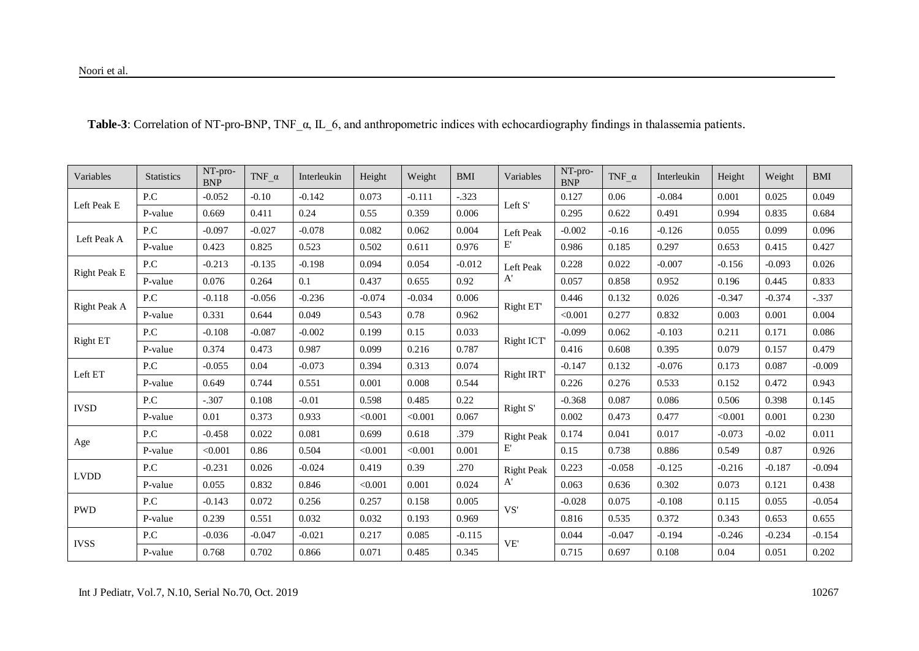| Variables           | <b>Statistics</b> | NT-pro-<br><b>BNP</b> | TNF $\,\alpha$ | Interleukin | Height   | Weight   | <b>BMI</b> | Variables         | NT-pro-<br><b>BNP</b>                       | TNF $\alpha$ | Interleukin | Height   | Weight   | <b>BMI</b> |
|---------------------|-------------------|-----------------------|----------------|-------------|----------|----------|------------|-------------------|---------------------------------------------|--------------|-------------|----------|----------|------------|
| Left Peak E         | P.C               | $-0.052$              | $-0.10$        | $-0.142$    | 0.073    | $-0.111$ | $-.323$    | Left S'           | 0.127                                       | 0.06         | $-0.084$    | 0.001    | 0.025    | 0.049      |
|                     | P-value           | 0.669                 | 0.411          | 0.24        | 0.55     | 0.359    | 0.006      |                   | 0.295                                       | 0.622        | 0.491       | 0.994    | 0.835    | 0.684      |
| Left Peak A         | P.C               | $-0.097$              | $-0.027$       | $-0.078$    | 0.082    | 0.062    | 0.004      | Left Peak         | $-0.002$                                    | $-0.16$      | $-0.126$    | 0.055    | 0.099    | 0.096      |
|                     | P-value           | 0.423                 | 0.825          | 0.523       | 0.502    | 0.611    | 0.976      | E,                | 0.986                                       | 0.185        | 0.297       | 0.653    | 0.415    | 0.427      |
|                     | P.C               | $-0.213$              | $-0.135$       | $-0.198$    | 0.094    | 0.054    | $-0.012$   | Left Peak         | 0.228                                       | 0.022        | $-0.007$    | $-0.156$ | $-0.093$ | 0.026      |
| <b>Right Peak E</b> | P-value           | 0.076                 | 0.264          | 0.1         | 0.437    | 0.655    | 0.92       | A'                | 0.057                                       | 0.858        | 0.952       | 0.196    | 0.445    | 0.833      |
|                     | P.C               | $-0.118$              | $-0.056$       | $-0.236$    | $-0.074$ | $-0.034$ | 0.006      |                   | 0.446                                       | 0.132        | 0.026       | $-0.347$ | $-0.374$ | $-.337$    |
| Right Peak A        | P-value           | 0.331                 | 0.644          | 0.049       | 0.543    | 0.78     | 0.962      | Right ET          | < 0.001                                     | 0.277        | 0.832       | 0.003    | 0.001    | 0.004      |
|                     | P.C               | $-0.108$              | $-0.087$       | $-0.002$    | 0.199    | 0.15     | 0.033      |                   | $-0.099$                                    | 0.062        | $-0.103$    | 0.211    | 0.171    | 0.086      |
| <b>Right ET</b>     | P-value           | 0.374                 | 0.473          | 0.987       | 0.099    | 0.216    | 0.787      |                   | Right ICT<br>0.416<br>$-0.147$<br>Right IRT | 0.608        | 0.395       | 0.079    | 0.157    | 0.479      |
| Left ET             | P.C               | $-0.055$              | 0.04           | $-0.073$    | 0.394    | 0.313    | 0.074      |                   |                                             | 0.132        | $-0.076$    | 0.173    | 0.087    | $-0.009$   |
|                     | P-value           | 0.649                 | 0.744          | 0.551       | 0.001    | 0.008    | 0.544      |                   | 0.226                                       | 0.276        | 0.533       | 0.152    | 0.472    | 0.943      |
| <b>IVSD</b>         | P.C               | $-.307$               | 0.108          | $-0.01$     | 0.598    | 0.485    | 0.22       |                   | $-0.368$                                    | 0.087        | 0.086       | 0.506    | 0.398    | 0.145      |
|                     | P-value           | 0.01                  | 0.373          | 0.933       | < 0.001  | < 0.001  | 0.067      | Right S'          | 0.002                                       | 0.473        | 0.477       | < 0.001  | 0.001    | 0.230      |
| Age                 | P.C               | $-0.458$              | 0.022          | 0.081       | 0.699    | 0.618    | .379       | <b>Right Peak</b> | 0.174                                       | 0.041        | 0.017       | $-0.073$ | $-0.02$  | 0.011      |
|                     | P-value           | < 0.001               | 0.86           | 0.504       | < 0.001  | < 0.001  | 0.001      | E,                | 0.15                                        | 0.738        | 0.886       | 0.549    | 0.87     | 0.926      |
| <b>LVDD</b>         | P.C               | $-0.231$              | 0.026          | $-0.024$    | 0.419    | 0.39     | .270       | <b>Right Peak</b> | 0.223                                       | $-0.058$     | $-0.125$    | $-0.216$ | $-0.187$ | $-0.094$   |
|                     | P-value           | 0.055                 | 0.832          | 0.846       | < 0.001  | 0.001    | 0.024      | A'                | 0.063                                       | 0.636        | 0.302       | 0.073    | 0.121    | 0.438      |
|                     | P.C               | $-0.143$              | 0.072          | 0.256       | 0.257    | 0.158    | 0.005      | VS'               | $-0.028$                                    | 0.075        | $-0.108$    | 0.115    | 0.055    | $-0.054$   |
| <b>PWD</b>          | P-value           | 0.239                 | 0.551          | 0.032       | 0.032    | 0.193    | 0.969      |                   | 0.816                                       | 0.535        | 0.372       | 0.343    | 0.653    | 0.655      |
| <b>IVSS</b>         | P.C               | $-0.036$              | $-0.047$       | $-0.021$    | 0.217    | 0.085    | $-0.115$   | VE'               | 0.044                                       | $-0.047$     | $-0.194$    | $-0.246$ | $-0.234$ | $-0.154$   |
|                     | P-value           | 0.768                 | 0.702          | 0.866       | 0.071    | 0.485    | 0.345      |                   | 0.715                                       | 0.697        | 0.108       | 0.04     | 0.051    | 0.202      |

 **Table-3**: Correlation of NT-pro-BNP, TNF\_α, IL\_6, and anthropometric indices with echocardiography findings in thalassemia patients.